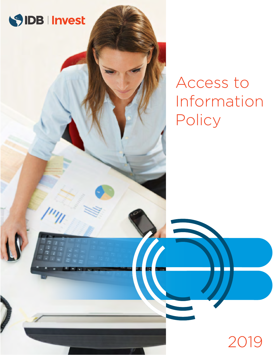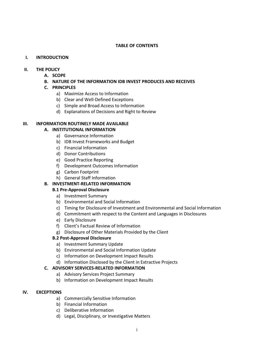## **TABLE OF CONTENTS**

## **I. INTRODUCTION**

## **II. THE POLICY**

- **A. SCOPE**
- **B. NATURE OF THE INFORMATION IDB INVEST PRODUCES AND RECEIVES**
- **C. PRINCIPLES**
	- a) Maximize Access to Information
	- b) Clear and Well-Defined Exceptions
	- c) Simple and Broad Access to Information
	- d) Explanations of Decisions and Right to Review

## **III. INFORMATION ROUTINELY MADE AVAILABLE**

# **A. INSTITUTIONAL INFORMATION**

- a) Governance Information
- b) IDB Invest Frameworks and Budget
- c) Financial Information
- d) Donor Contributions
- e) Good Practice Reporting
- f) Development Outcomes Information
- g) Carbon Footprint
- h) General Staff Information

# **B. INVESTMENT-RELATED INFORMATION**

- **B.1 Pre-Approval Disclosure**
	- a) Investment Summary
	- b) Environmental and Social Information
	- c) Timing for Disclosure of Investment and Environmental and Social Information
	- d) Commitment with respect to the Content and Languages in Disclosures
	- e) Early Disclosure
	- f) Client's Factual Review of Information
	- g) Disclosure of Other Materials Provided by the Client

## **B.2 Post-Approval Disclosure**

- a) Investment Summary Update
- b) Environmental and Social Information Update
- c) Information on Development Impact Results
- d) Information Disclosed by the Client in Extractive Projects

## **C. ADVISORY SERVICES-RELATED INFORMATION**

- a) Advisory Services Project Summary
- b) Information on Development Impact Results

## **IV. EXCEPTIONS**

- a) Commercially Sensitive Information
- b) Financial Information
- c) Deliberative Information
- d) Legal, Disciplinary, or Investigative Matters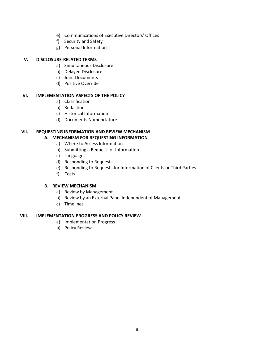- e) Communications of Executive Directors' Offices
- f) Security and Safety
- g) Personal Information

# **V. DISCLOSURE-RELATED TERMS**

- a) Simultaneous Disclosure
- b) Delayed Disclosure
- c) Joint Documents
- d) Positive Override

## **VI. IMPLEMENTATION ASPECTS OF THE POLICY**

- a) Classification
- b) Redaction
- c) Historical Information
- d) Documents Nomenclature

# **VII. REQUESTING INFORMATION AND REVIEW MECHANISM**

# **A. MECHANISM FOR REQUESTING INFORMATION**

- a) Where to Access Information
- b) Submitting a Request for Information
- c) Languages
- d) Responding to Requests
- e) Responding to Requests for Information of Clients or Third Parties
- f) Costs

## **B. REVIEW MECHANISM**

- a) Review by Management
- b) Review by an External Panel Independent of Management
- c) Timelines

## **VIII. IMPLEMENTATION PROGRESS AND POLICY REVIEW**

- a) Implementation Progress
- b) Policy Review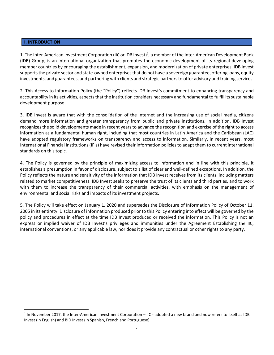#### **I. INTRODUCTION**

1. The Inter-American Investment Corporation (IIC or IDB Invest)<sup>1</sup>, a member of the Inter-American Development Bank (IDB) Group, is an international organization that promotes the economic development of its regional developing member countries by encouraging the establishment, expansion, and modernization of private enterprises. IDB Invest supports the private sector and state-owned enterprises that do not have a sovereign guarantee, offering loans, equity investments, and guarantees, and partnering with clients and strategic partners to offer advisory and training services.

2. This Access to Information Policy (the "Policy") reflects IDB Invest's commitment to enhancing transparency and accountability in its activities, aspects that the institution considers necessary and fundamental to fulfill its sustainable development purpose.

3. IDB Invest is aware that with the consolidation of the Internet and the increasing use of social media, citizens demand more information and greater transparency from public and private institutions. In addition, IDB Invest recognizes the solid developments made in recent years to advance the recognition and exercise of the right to access information as a fundamental human right, including that most countries in Latin America and the Caribbean (LAC) have adopted regulatory frameworks on transparency and access to information. Similarly, in recent years, most International Financial Institutions (IFIs) have revised their information policies to adapt them to current international standards on this topic.

4. The Policy is governed by the principle of maximizing access to information and in line with this principle, it establishes a presumption in favor of disclosure, subject to a list of clear and well-defined exceptions. In addition, the Policy reflects the nature and sensitivity of the information that IDB Invest receives from its clients, including matters related to market competitiveness. IDB Invest seeks to preserve the trust of its clients and third parties, and to work with them to increase the transparency of their commercial activities, with emphasis on the management of environmental and social risks and impacts of its investment projects.

5. The Policy will take effect on January 1, 2020 and supersedes the Disclosure of Information Policy of October 11, 2005 in its entirety. Disclosure of information produced prior to this Policy entering into effect will be governed by the policy and procedures in effect at the time IDB Invest produced or received the information. This Policy is not an express or implied waiver of IDB Invest's privileges and immunities under the Agreement Establishing the IIC, international conventions, or any applicable law, nor does it provide any contractual or other rights to any party.

 $1$  In November 2017, the Inter-American Investment Corporation – IIC - adopted a new brand and now refers to itself as IDB Invest (in English) and BID Invest (in Spanish, French and Portuguese).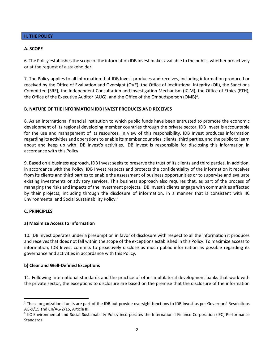## **II. THE POLICY**

#### **A. SCOPE**

6. The Policy establishes the scope of the information IDB Invest makes available to the public, whether proactively or at the request of a stakeholder.

7. The Policy applies to all information that IDB Invest produces and receives, including information produced or received by the Office of Evaluation and Oversight (OVE), the Office of Institutional Integrity (OII), the Sanctions Committee (SRE), the Independent Consultation and Investigation Mechanism (ICIM), the Office of Ethics (ETH), the Office of the Executive Auditor (AUG), and the Office of the Ombudsperson (OMB)<sup>2</sup>.

#### **B. NATURE OF THE INFORMATION IDB INVEST PRODUCES AND RECEIVES**

8. As an international financial institution to which public funds have been entrusted to promote the economic development of its regional developing member countries through the private sector, IDB Invest is accountable for the use and management of its resources. In view of this responsibility, IDB Invest produces information regarding its activities and operations to enable its member countries, clients, third parties, and the public to learn about and keep up with IDB Invest's activities. IDB Invest is responsible for disclosing this information in accordance with this Policy.

9. Based on a business approach, IDB Invest seeks to preserve the trust of its clients and third parties. In addition, in accordance with the Policy, IDB Invest respects and protects the confidentiality of the information it receives from its clients and third parties to enable the assessment of business opportunities or to supervise and evaluate existing investments or advisory services. This business approach also requires that, as part of the process of managing the risks and impacts of the investment projects, IDB Invest's clients engage with communities affected by their projects, including through the disclosure of information, in a manner that is consistent with IIC Environmental and Social Sustainability Policy.3

## **C. PRINCIPLES**

## **a) Maximize Access to Information**

10. IDB Invest operates under a presumption in favor of disclosure with respect to all the information it produces and receives that does not fall within the scope of the exceptions established in this Policy. To maximize access to information, IDB Invest commits to proactively disclose as much public information as possible regarding its governance and activities in accordance with this Policy.

## **b) Clear and Well-Defined Exceptions**

11. Following international standards and the practice of other multilateral development banks that work with the private sector, the exceptions to disclosure are based on the premise that the disclosure of the information

<sup>&</sup>lt;sup>2</sup> These organizational units are part of the IDB but provide oversight functions to IDB Invest as per Governors' Resolutions AG-9/15 and CII/AG-2/15, Article III.

<sup>3</sup> IIC Environmental and Social Sustainability Policy incorporates the International Finance Corporation (IFC) Performance Standards.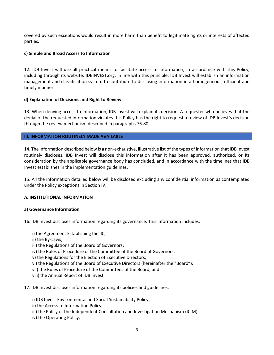covered by such exceptions would result in more harm than benefit to legitimate rights or interests of affected parties.

## **c) Simple and Broad Access to Information**

12. IDB Invest will use all practical means to facilitate access to information, in accordance with this Policy, including through its website: IDBINVEST.org. In line with this principle, IDB Invest will establish an information management and classification system to contribute to disclosing information in a homogeneous, efficient and timely manner.

# **d) Explanation of Decisions and Right to Review**

13. When denying access to information, IDB Invest will explain its decision. A requester who believes that the denial of the requested information violates this Policy has the right to request a review of IDB Invest's decision through the review mechanism described in paragraphs 76-80.

# **III. INFORMATION ROUTINELY MADE AVAILABLE**

14. The information described below is a non-exhaustive, illustrative list of the types of information that IDB Invest routinely discloses. IDB Invest will disclose this information after it has been approved, authorized, or its consideration by the applicable governance body has concluded, and in accordance with the timelines that IDB Invest establishes in the implementation guidelines.

15. All the information detailed below will be disclosed excluding any confidential information as contemplated under the Policy exceptions in Section IV.

# **A. INSTITUTIONAL INFORMATION**

## **a) Governance Information**

16. IDB Invest discloses information regarding its governance. This information includes:

i) the Agreement Establishing the IIC;

- ii) the By-Laws;
- iii) the Regulations of the Board of Governors;
- iv) the Rules of Procedure of the Committee of the Board of Governors;
- v) the Regulations for the Election of Executive Directors;
- vi) the Regulations of the Board of Executive Directors (hereinafter the "Board");
- vii) the Rules of Procedure of the Committees of the Board; and
- viii) the Annual Report of IDB Invest.
- 17. IDB Invest discloses information regarding its policies and guidelines:
	- i) IDB Invest Environmental and Social Sustainability Policy;
	- ii) the Access to Information Policy;
	- iii) the Policy of the Independent Consultation and Investigation Mechanism (ICIM);
	- iv) the Operating Policy;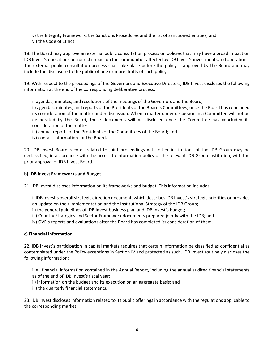v) the Integrity Framework, the Sanctions Procedures and the list of sanctioned entities; and vi) the Code of Ethics.

18. The Board may approve an external public consultation process on policies that may have a broad impact on IDB Invest's operations or a direct impact on the communities affected by IDB Invest's investments and operations. The external public consultation process shall take place before the policy is approved by the Board and may include the disclosure to the public of one or more drafts of such policy.

19. With respect to the proceedings of the Governors and Executive Directors, IDB Invest discloses the following information at the end of the corresponding deliberative process:

i) agendas, minutes, and resolutions of the meetings of the Governors and the Board;

ii) agendas, minutes, and reports of the Presidents of the Board's Committees, once the Board has concluded its consideration of the matter under discussion. When a matter under discussion in a Committee will not be deliberated by the Board, these documents will be disclosed once the Committee has concluded its consideration of the matter;

iii) annual reports of the Presidents of the Committees of the Board; and

iv) contact information for the Board.

20. IDB Invest Board records related to joint proceedings with other institutions of the IDB Group may be declassified, in accordance with the access to information policy of the relevant IDB Group institution, with the prior approval of IDB Invest Board.

## **b) IDB Invest Frameworks and Budget**

21. IDB Invest discloses information on its frameworks and budget. This information includes:

i) IDB Invest's overall strategic direction document, which describes IDB Invest's strategic priorities or provides an update on their implementation and the Institutional Strategy of the IDB Group;

- ii) the general guidelines of IDB Invest business plan and IDB Invest's budget;
- iii) Country Strategies and Sector Framework documents prepared jointly with the IDB; and
- iv) OVE's reports and evaluations after the Board has completed its consideration of them.

## **c) Financial Information**

22. IDB Invest's participation in capital markets requires that certain information be classified as confidential as contemplated under the Policy exceptions in Section IV and protected as such. IDB Invest routinely discloses the following information:

i) all financial information contained in the Annual Report, including the annual audited financial statements as of the end of IDB Invest's fiscal year;

- ii) information on the budget and its execution on an aggregate basis; and
- iii) the quarterly financial statements.

23. IDB Invest discloses information related to its public offerings in accordance with the regulations applicable to the corresponding market.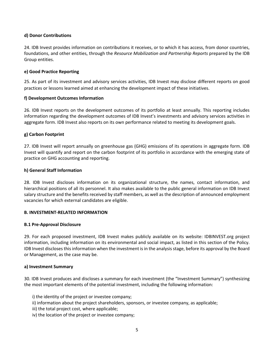## **d) Donor Contributions**

24. IDB Invest provides information on contributions it receives, or to which it has access, from donor countries, foundations, and other entities, through the *Resource Mobilization and Partnership Reports* prepared by the IDB Group entities.

# **e) Good Practice Reporting**

25. As part of its investment and advisory services activities, IDB Invest may disclose different reports on good practices or lessons learned aimed at enhancing the development impact of these initiatives.

## **f) Development Outcomes Information**

26. IDB Invest reports on the development outcomes of its portfolio at least annually. This reporting includes information regarding the development outcomes of IDB Invest's investments and advisory services activities in aggregate form. IDB Invest also reports on its own performance related to meeting its development goals.

# **g) Carbon Footprint**

27. IDB Invest will report annually on greenhouse gas (GHG) emissions of its operations in aggregate form. IDB Invest will quantify and report on the carbon footprint of its portfolio in accordance with the emerging state of practice on GHG accounting and reporting.

## **h) General Staff Information**

28. IDB Invest discloses information on its organizational structure, the names, contact information, and hierarchical positions of all its personnel. It also makes available to the public general information on IDB Invest salary structure and the benefits received by staff members, as well as the description of announced employment vacancies for which external candidates are eligible.

## **B. INVESTMENT-RELATED INFORMATION**

## **B.1 Pre-Approval Disclosure**

29. For each proposed investment, IDB Invest makes publicly available on its website: IDBINVEST.org project information, including information on its environmental and social impact, as listed in this section of the Policy. IDB Invest discloses this information when the investment is in the analysis stage, before its approval by the Board or Management, as the case may be.

## **a) Investment Summary**

30. IDB Invest produces and discloses a summary for each investment (the "Investment Summary") synthesizing the most important elements of the potential investment, including the following information:

i) the identity of the project or investee company;

- ii) information about the project shareholders, sponsors, or investee company, as applicable;
- iii) the total project cost, where applicable;
- iv) the location of the project or investee company;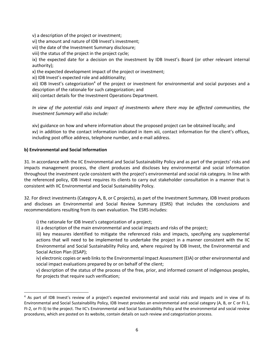v) a description of the project or investment;

vi) the amount and nature of IDB Invest's investment;

vii) the date of the Investment Summary disclosure;

viii) the status of the project in the project cycle;

ix) the expected date for a decision on the investment by IDB Invest's Board (or other relevant internal authority);

x) the expected development impact of the project or investment;

xi) IDB Invest's expected role and additionality;

xii) IDB Invest's categorization<sup>4</sup> of the project or investment for environmental and social purposes and a description of the rationale for such categorization; and

xiii) contact details for the Investment Operations Department.

*In view of the potential risks and impact of investments where there may be affected communities, the Investment Summary will also include:*

xiv) guidance on how and where information about the proposed project can be obtained locally; and xv) in addition to the contact information indicated in item xiii, contact information for the client's offices, including post office address, telephone number, and e-mail address.

# **b) Environmental and Social Information**

31. In accordance with the IIC Environmental and Social Sustainability Policy and as part of the projects' risks and impacts management process, the client produces and discloses key environmental and social information throughout the investment cycle consistent with the project's environmental and social risk category. In line with the referenced policy, IDB Invest requires its clients to carry out stakeholder consultation in a manner that is consistent with IIC Environmental and Social Sustainability Policy.

32. For direct investments (Category A, B, or C projects), as part of the Investment Summary, IDB Invest produces and discloses an Environmental and Social Review Summary (ESRS) that includes the conclusions and recommendations resulting from its own evaluation. The ESRS includes:

i) the rationale for IDB Invest's categorization of a project;

ii) a description of the main environmental and social impacts and risks of the project;

iii) key measures identified to mitigate the referenced risks and impacts, specifying any supplemental actions that will need to be implemented to undertake the project in a manner consistent with the IIC Environmental and Social Sustainability Policy and, where required by IDB Invest, the Environmental and Social Action Plan (ESAP);

iv) electronic copies or web links to the Environmental Impact Assessment (EIA) or other environmental and social impact evaluations prepared by or on behalf of the client;

v) description of the status of the process of the free, prior, and informed consent of indigenous peoples, for projects that require such verification;

<sup>&</sup>lt;sup>4</sup> As part of IDB Invest's review of a project's expected environmental and social risks and impacts and in view of its Environmental and Social Sustainability Policy, IDB Invest provides an environmental and social category (A, B, or C or FI-1, FI-2, or FI-3) to the project. The IIC's Environmental and Social Sustainability Policy and the environmental and social review procedures, which are posted on its website, contain details on such review and categorization process.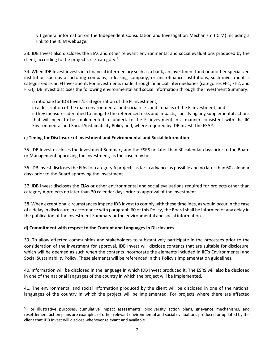vi) general information on the Independent Consultation and Investigation Mechanism (ICIM) including a link to the ICIM webpage.

33. IDB Invest also discloses the EIAs and other relevant environmental and social evaluations produced by the client, according to the project's risk category. 5

34. When IDB Invest invests in a financial intermediary such as a bank, an investment fund or another specialized institution such as a factoring company, a leasing company, or microfinance institutions, such investment is categorized as an FI Investment. For investments made through financial intermediaries (categories FI-1, FI-2, and FI-3), IDB Invest discloses the following environmental and social information through the Investment Summary:

i) rationale for IDB Invest's categorization of the FI investment;

ii) a description of the main environmental and social risks and impacts of the FI investment; and

iii) key measures identified to mitigate the referenced risks and impacts, specifying any supplemental actions that will need to be implemented to undertake the FI investment in a manner consistent with the IIC Environmental and Social Sustainability Policy and, where required by IDB Invest, the ESAP.

# **c) Timing for Disclosure of Investment and Environmental and Social Information**

35. IDB Invest discloses the Investment Summary and the ESRS no later than 30 calendar days prior to the Board or Management approving the investment, as the case may be.

36. IDB Invest discloses the EIAs for category A projects as far in advance as possible and no later than 60 calendar days prior to the Board approving the investment.

37. IDB Invest discloses the EIAs or other environmental and social evaluations required for projects other than category A projects no later than 30 calendar days prior to approval of the investment.

38. When exceptional circumstances impede IDB Invest to comply with these timelines, as would occur in the case of a delay in disclosure in accordance with paragraph 60 of this Policy, the Board shall be informed of any delay in the publication of the Investment Summary or the environmental and social information.

## **d) Commitment with respect to the Content and Languages in Disclosures**

39. To allow affected communities and stakeholders to substantively participate in the processes prior to the consideration of the investment for approval, IDB Invest will disclose contents that are suitable for disclosure, which will be deemed as such when the contents incorporate the elements included in IIC's Environmental and Social Sustainability Policy. These elements will be referenced in this Policy's implementation guidelines.

40. Information will be disclosed in the language in which IDB Invest produced it. The ESRS will also be disclosed in one of the national languages of the country in which the project will be implemented.

41. The environmental and social information produced by the client will be disclosed in one of the national languages of the country in which the project will be implemented. For projects where there are affected

 $5$  For illustrative purposes, cumulative impact assessments, biodiversity action plans, grievance mechanisms, and resettlement action plans are examples of other relevant environmental and social evaluations produced or updated by the client that IDB Invest will disclose whenever relevant and available.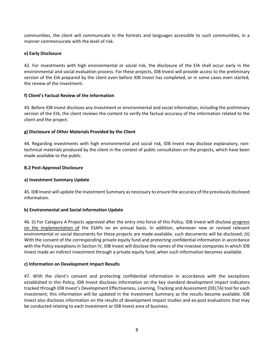communities, the client will communicate in the formats and languages accessible to such communities, in a manner commensurate with the level of risk.

# **e) Early Disclosure**

42. For investments with high environmental or social risk, the disclosure of the EIA shall occur early in the environmental and social evaluation process. For these projects, IDB Invest will provide access to the preliminary version of the EIA prepared by the client even before IDB Invest has completed, or in some cases even started, the review of the investment.

# **f) Client's Factual Review of the Information**

43. Before IDB Invest discloses any investment or environmental and social information, including the preliminary version of the EIA, the client reviews the content to verify the factual accuracy of the information related to the client and the project.

# **g) Disclosure of Other Materials Provided by the Client**

44. Regarding investments with high environmental and social risk, IDB Invest may disclose explanatory, nontechnical materials produced by the client in the context of public consultation on the projects, which have been made available to the public.

## **B.2 Post-Approval Disclosure**

## **a) Investment Summary Update**

45. IDB Invest will update the Investment Summary as necessary to ensure the accuracy of the previously disclosed information.

## **b) Environmental and Social Information Update**

46. (i) For Category A Projects approved after the entry into force of this Policy, IDB Invest will disclose progress on the implementation of the ESAPs on an annual basis. In addition, whenever new or revised relevant environmental or social documents for these projects are made available, such documents will be disclosed; (ii) With the consent of the corresponding private equity fund and protecting confidential information in accordance with the Policy exceptions in Section IV, IDB Invest will disclose the names of the investee companies in which IDB Invest made an indirect investment through a private equity fund, when such information becomes available.

## **c) Information on Development Impact Results**

47. With the client's consent and protecting confidential information in accordance with the exceptions established in this Policy, IDB Invest discloses information on the key standard development impact indicators tracked through IDB Invest's Development Effectiveness, Learning, Tracking and Assessment (DELTA) tool for each investment; this information will be updated in the Investment Summary as the results become available. IDB Invest also discloses information on the results of development impact studies and ex-post evaluations that may be conducted relating to each investment or IDB Invest area of business.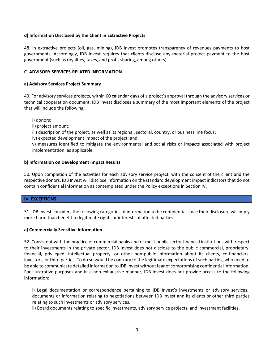## **d) Information Disclosed by the Client in Extractive Projects**

48. In extractive projects (oil, gas, mining), IDB Invest promotes transparency of revenues payments to host governments. Accordingly, IDB Invest requires that clients disclose any material project payment to the host government (such as royalties, taxes, and profit sharing, among others).

#### **C. ADVISORY SERVICES-RELATED INFORMATION**

#### **a) Advisory Services Project Summary**

49. For advisory services projects, within 60 calendar days of a project's approval through the advisory services or technical cooperation document, IDB Invest discloses a summary of the most important elements of the project that will include the following:

i) donors;

ii) project amount;

iii) description of the project, as well as its regional, sectoral, country, or business line focus;

iv) expected development impact of the project; and

v) measures identified to mitigate the environmental and social risks or impacts associated with project implementation, as applicable.

#### **b) Information on Development Impact Results**

50. Upon completion of the activities for each advisory service project, with the consent of the client and the respective donors, IDB Invest will disclose information on the standard development impact indicators that do not contain confidential information as contemplated under the Policy exceptions in Section IV.

## **IV. EXCEPTIONS**

51. IDB Invest considers the following categories of information to be confidential since their disclosure will imply more harm than benefit to legitimate rights or interests of affected parties:

#### **a) Commercially Sensitive Information**

52. Consistent with the practice of commercial banks and of most public sector financial institutions with respect to their investments in the private sector, IDB Invest does not disclose to the public commercial, proprietary, financial, privileged, intellectual property, or other non-public information about its clients, co-financiers, investors, or third parties. To do so would be contrary to the legitimate expectations of such parties, who need to be able to communicate detailed information to IDB Invest without fear of compromising confidential information. For illustrative purposes and in a non-exhaustive manner, IDB Invest does not provide access to the following information:

i) Legal documentation or correspondence pertaining to IDB Invest's investments or advisory services., documents or information relating to negotiations between IDB Invest and its clients or other third parties relating to such investments or advisory services.

ii) Board documents relating to specific investments, advisory service projects, and investment facilities.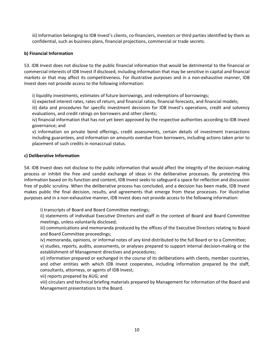iii) Information belonging to IDB Invest's clients, co-financiers, investors or third parties identified by them as confidential, such as business plans, financial projections, commercial or trade secrets.

# **b) Financial Information**

53. IDB Invest does not disclose to the public financial information that would be detrimental to the financial or commercial interests of IDB Invest if disclosed, including information that may be sensitive in capital and financial markets or that may affect its competitiveness. For illustrative purposes and in a non-exhaustive manner, IDB Invest does not provide access to the following information:

i) liquidity investments, estimates of future borrowings, and redemptions of borrowings;

ii) expected interest rates, rates of return, and financial ratios, financial forecasts, and financial models;

iii) data and procedures for specific investment decisions for IDB Invest's operations, credit and solvency evaluations, and credit ratings on borrowers and other clients;

iv) financial information that has not yet been approved by the respective authorities according to IDB Invest governance; and

v) information on private bond offerings, credit assessments, certain details of investment transactions including guarantees, and information on amounts overdue from borrowers, including actions taken prior to placement of such credits in nonaccrual status.

# **c) Deliberative Information**

54. IDB Invest does not disclose to the public information that would affect the integrity of the decision-making process or inhibit the free and candid exchange of ideas in the deliberative processes. By protecting this information based on its function and content, IDB Invest seeks to safeguard a space for reflection and discussion free of public scrutiny. When the deliberative process has concluded, and a decision has been made, IDB Invest makes public the final decision, results, and agreements that emerge from these processes. For illustrative purposes and in a non-exhaustive manner, IDB Invest does not provide access to the following information:

i) transcripts of Board and Board Committee meetings;

ii) statements of individual Executive Directors and staff in the context of Board and Board Committee meetings, unless voluntarily disclosed;

iii) communications and memoranda produced by the offices of the Executive Directors relating to Board and Board Committee proceedings;

iv) memoranda, opinions, or informal notes of any kind distributed to the full Board or to a Committee;

v) studies, reports, audits, assessments, or analyses prepared to support internal decision-making or the establishment of Management directives and procedures;

vi) information prepared or exchanged in the course of its deliberations with clients, member countries, and other entities with which IDB Invest cooperates, including information prepared by the staff, consultants, attorneys, or agents of IDB Invest;

vii) reports prepared by AUG; and

viii) circulars and technical briefing materials prepared by Management for information of the Board and Management presentations to the Board.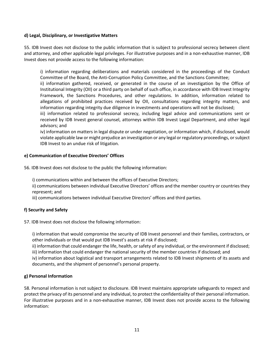## **d) Legal, Disciplinary, or Investigative Matters**

55. IDB Invest does not disclose to the public information that is subject to professional secrecy between client and attorney, and other applicable legal privileges. For illustrative purposes and in a non-exhaustive manner, IDB Invest does not provide access to the following information:

i) information regarding deliberations and materials considered in the proceedings of the Conduct Committee of the Board, the Anti-Corruption Policy Committee, and the Sanctions Committee;

ii) information gathered, received, or generated in the course of an investigation by the Office of Institutional Integrity (OII) or a third party on behalf of such office, in accordance with IDB Invest Integrity Framework, the Sanctions Procedures, and other regulations. In addition, information related to allegations of prohibited practices received by OII, consultations regarding integrity matters, and information regarding integrity due diligence in investments and operations will not be disclosed;

iii) information related to professional secrecy, including legal advice and communications sent or received by IDB Invest general counsel, attorneys within IDB Invest Legal Department, and other legal advisors; and

iv) information on matters in legal dispute or under negotiation, or information which, if disclosed, would violate applicable law or might prejudice an investigation or any legal or regulatory proceedings, or subject IDB Invest to an undue risk of litigation.

# **e) Communication of Executive Directors' Offices**

56. IDB Invest does not disclose to the public the following information:

i) communications within and between the offices of Executive Directors;

ii) communications between individual Executive Directors' offices and the member country or countries they represent; and

iii) communications between individual Executive Directors' offices and third parties.

# **f) Security and Safety**

57. IDB Invest does not disclose the following information:

i) information that would compromise the security of IDB Invest personnel and their families, contractors, or other individuals or that would put IDB Invest's assets at risk if disclosed;

ii) information that could endanger the life, health, or safety of any individual, or the environment if disclosed; iii) information that could endanger the national security of the member countries if disclosed; and

iv) information about logistical and transport arrangements related to IDB Invest shipments of its assets and documents, and the shipment of personnel's personal property.

## **g) Personal Information**

58. Personal information is not subject to disclosure. IDB Invest maintains appropriate safeguards to respect and protect the privacy of its personnel and any individual, to protect the confidentiality of their personal information. For illustrative purposes and in a non-exhaustive manner, IDB Invest does not provide access to the following information: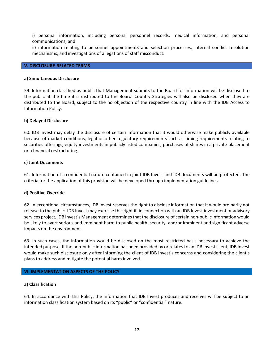i) personal information, including personal personnel records, medical information, and personal communications; and

ii) information relating to personnel appointments and selection processes, internal conflict resolution mechanisms, and investigations of allegations of staff misconduct.

#### **V. DISCLOSURE-RELATED TERMS**

#### **a) Simultaneous Disclosure**

59. Information classified as public that Management submits to the Board for information will be disclosed to the public at the time it is distributed to the Board. Country Strategies will also be disclosed when they are distributed to the Board, subject to the no objection of the respective country in line with the IDB Access to Information Policy.

#### **b) Delayed Disclosure**

60. IDB Invest may delay the disclosure of certain information that it would otherwise make publicly available because of market conditions, legal or other regulatory requirements such as timing requirements relating to securities offerings, equity investments in publicly listed companies, purchases of shares in a private placement or a financial restructuring.

#### **c) Joint Documents**

61. Information of a confidential nature contained in joint IDB Invest and IDB documents will be protected. The criteria for the application of this provision will be developed through implementation guidelines.

#### **d) Positive Override**

62. In exceptional circumstances, IDB Invest reserves the right to disclose information that it would ordinarily not release to the public. IDB Invest may exercise this right if, in connection with an IDB Invest investment or advisory services project, IDB Invest's Management determines that the disclosure of certain non-public information would be likely to avert serious and imminent harm to public health, security, and/or imminent and significant adverse impacts on the environment.

63. In such cases, the information would be disclosed on the most restricted basis necessary to achieve the intended purpose. If the non-public information has been provided by or relates to an IDB Invest client, IDB Invest would make such disclosure only after informing the client of IDB Invest's concerns and considering the client's plans to address and mitigate the potential harm involved.

#### **VI. IMPLEMENTATION ASPECTS OF THE POLICY**

#### **a) Classification**

64. In accordance with this Policy, the information that IDB Invest produces and receives will be subject to an information classification system based on its "public" or "confidential" nature.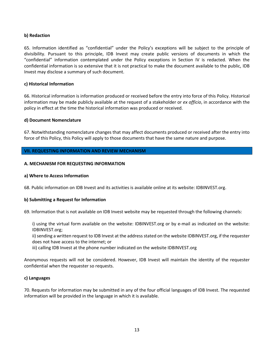# **b) Redaction**

65. Information identified as "confidential" under the Policy's exceptions will be subject to the principle of divisibility. Pursuant to this principle, IDB Invest may create public versions of documents in which the "confidential" information contemplated under the Policy exceptions in Section IV is redacted. When the confidential information is so extensive that it is not practical to make the document available to the public, IDB Invest may disclose a summary of such document.

#### **c) Historical Information**

66. Historical information is information produced or received before the entry into force of this Policy. Historical information may be made publicly available at the request of a stakeholder or *ex officio*, in accordance with the policy in effect at the time the historical information was produced or received.

#### **d) Document Nomenclature**

67. Notwithstanding nomenclature changes that may affect documents produced or received after the entry into force of this Policy, this Policy will apply to those documents that have the same nature and purpose.

#### **VII. REQUESTING INFORMATION AND REVIEW MECHANISM**

#### **A. MECHANISM FOR REQUESTING INFORMATION**

#### **a) Where to Access Information**

68. Public information on IDB Invest and its activities is available online at its website: IDBINVEST.org.

#### **b) Submitting a Request for Information**

69. Information that is not available on IDB Invest website may be requested through the following channels:

i) using the virtual form available on the website: IDBINVEST.org or by e-mail as indicated on the website: IDBINVEST.org;

ii) sending a written request to IDB Invest at the address stated on the website IDBINVEST.org, if the requester does not have access to the internet; or

iii) calling IDB Invest at the phone number indicated on the website IDBINVEST.org

Anonymous requests will not be considered. However, IDB Invest will maintain the identity of the requester confidential when the requester so requests.

#### **c) Languages**

70. Requests for information may be submitted in any of the four official languages of IDB Invest. The requested information will be provided in the language in which it is available.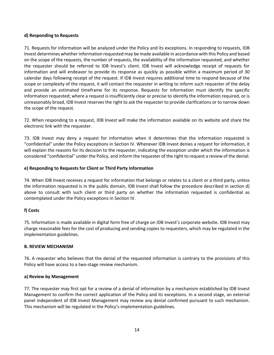## **d) Responding to Requests**

71. Requests for information will be analyzed under the Policy and its exceptions. In responding to requests, IDB Invest determines whether information requested may be made available in accordance with this Policy and based on the scope of the requests, the number of requests, the availability of the information requested, and whether the requester should be referred to IDB Invest's client. IDB Invest will acknowledge receipt of requests for information and will endeavor to provide its response as quickly as possible within a maximum period of 30 calendar days following receipt of the request. If IDB Invest requires additional time to respond because of the scope or complexity of the request, it will contact the requester in writing to inform such requester of the delay and provide an estimated timeframe for its response. Requests for information must identify the specific information requested; where a request is insufficiently clear or precise to identify the information required, or is unreasonably broad, IDB Invest reserves the right to ask the requester to provide clarifications or to narrow down the scope of the request.

72. When responding to a request, IDB Invest will make the information available on its website and share the electronic link with the requester.

73. IDB Invest may deny a request for information when it determines that the information requested is "confidential" under the Policy exceptions in Section IV. Whenever IDB Invest denies a request for information, it will explain the reasons for its decision to the requester, indicating the exception under which the information is considered "confidential" under the Policy, and inform the requester of the right to request a review of the denial.

# **e) Responding to Requests for Client or Third Party Information**

74. When IDB Invest receives a request for information that belongs or relates to a client or a third party, unless the information requested is in the public domain, IDB Invest shall follow the procedure described in section d) above to consult with such client or third party on whether the information requested is confidential as contemplated under the Policy exceptions in Section IV.

# **f) Costs**

75. Information is made available in digital form free of charge on IDB Invest's corporate website. IDB Invest may charge reasonable fees for the cost of producing and sending copies to requesters, which may be regulated in the implementation guidelines.

## **B. REVIEW MECHANISM**

76. A requester who believes that the denial of the requested information is contrary to the provisions of this Policy will have access to a two-stage review mechanism.

## **a) Review by Management**

77. The requester may first opt for a review of a denial of information by a mechanism established by IDB Invest Management to confirm the correct application of the Policy and its exceptions. In a second stage, an external panel independent of IDB Invest Management may review any denial confirmed pursuant to such mechanism. This mechanism will be regulated in the Policy's implementation guidelines.